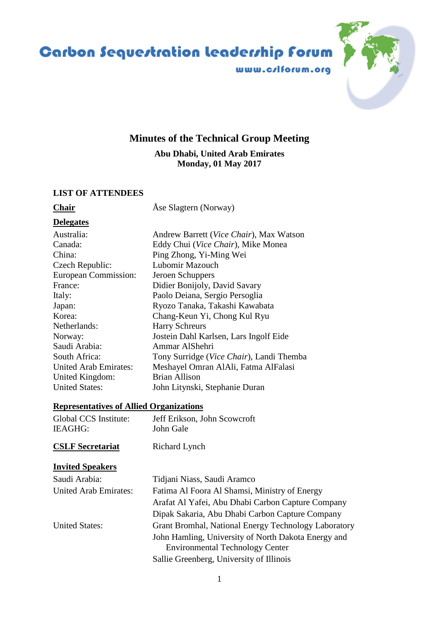# Carbon Sequestration leadership Forum

www.crlforum.org

## **Minutes of the Technical Group Meeting**

**Abu Dhabi, United Arab Emirates Monday, 01 May 2017**

#### **LIST OF ATTENDEES**

**Chair** Åse Slagtern (Norway)

#### **Delegates**

| Australia:                   | Andrew Barrett (Vice Chair), Max Watson  |
|------------------------------|------------------------------------------|
| Canada:                      | Eddy Chui (Vice Chair), Mike Monea       |
| China:                       | Ping Zhong, Yi-Ming Wei                  |
| Czech Republic:              | Lubomir Mazouch                          |
| European Commission:         | Jeroen Schuppers                         |
| France:                      | Didier Bonijoly, David Savary            |
| Italy:                       | Paolo Deiana, Sergio Persoglia           |
| Japan:                       | Ryozo Tanaka, Takashi Kawabata           |
| Korea:                       | Chang-Keun Yi, Chong Kul Ryu             |
| Netherlands:                 | <b>Harry Schreurs</b>                    |
| Norway:                      | Jostein Dahl Karlsen, Lars Ingolf Eide   |
| Saudi Arabia:                | Ammar AlShehri                           |
| South Africa:                | Tony Surridge (Vice Chair), Landi Themba |
| <b>United Arab Emirates:</b> | Meshayel Omran AlAli, Fatma AlFalasi     |
| United Kingdom:              | <b>Brian Allison</b>                     |
| <b>United States:</b>        | John Litynski, Stephanie Duran           |

#### **Representatives of Allied Organizations**

| Global CCS Institute: | Jeff Erikson, John Scowcroft |
|-----------------------|------------------------------|
| IEAGHG:               | John Gale                    |

#### **CSLF Secretariat** Richard Lynch

#### **Invited Speakers**

| Saudi Arabia:                | Tidjani Niass, Saudi Aramco                                                                   |
|------------------------------|-----------------------------------------------------------------------------------------------|
| <b>United Arab Emirates:</b> | Fatima Al Foora Al Shamsi, Ministry of Energy                                                 |
|                              | Arafat Al Yafei, Abu Dhabi Carbon Capture Company                                             |
|                              | Dipak Sakaria, Abu Dhabi Carbon Capture Company                                               |
| <b>United States:</b>        | Grant Bromhal, National Energy Technology Laboratory                                          |
|                              | John Hamling, University of North Dakota Energy and<br><b>Environmental Technology Center</b> |
|                              | Sallie Greenberg, University of Illinois                                                      |

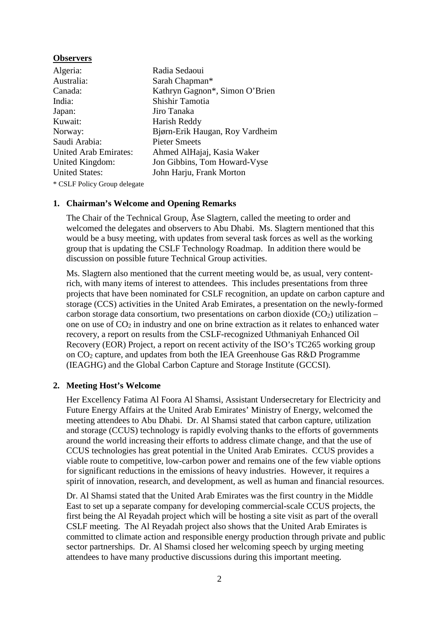#### **Observers**

| Algeria:                     | Radia Sedaoui                   |
|------------------------------|---------------------------------|
| Australia:                   | Sarah Chapman*                  |
| Canada:                      | Kathryn Gagnon*, Simon O'Brien  |
| India:                       | Shishir Tamotia                 |
| Japan:                       | Jiro Tanaka                     |
| Kuwait:                      | Harish Reddy                    |
| Norway:                      | Bjørn-Erik Haugan, Roy Vardheim |
| Saudi Arabia:                | <b>Pieter Smeets</b>            |
| <b>United Arab Emirates:</b> | Ahmed AlHajaj, Kasia Waker      |
| United Kingdom:              | Jon Gibbins, Tom Howard-Vyse    |
| <b>United States:</b>        | John Harju, Frank Morton        |

\* CSLF Policy Group delegate

#### **1. Chairman's Welcome and Opening Remarks**

The Chair of the Technical Group, Åse Slagtern, called the meeting to order and welcomed the delegates and observers to Abu Dhabi. Ms. Slagtern mentioned that this would be a busy meeting, with updates from several task forces as well as the working group that is updating the CSLF Technology Roadmap. In addition there would be discussion on possible future Technical Group activities.

Ms. Slagtern also mentioned that the current meeting would be, as usual, very contentrich, with many items of interest to attendees. This includes presentations from three projects that have been nominated for CSLF recognition, an update on carbon capture and storage (CCS) activities in the United Arab Emirates, a presentation on the newly-formed carbon storage data consortium, two presentations on carbon dioxide  $(CO<sub>2</sub>)$  utilization – one on use of  $CO<sub>2</sub>$  in industry and one on brine extraction as it relates to enhanced water recovery, a report on results from the CSLF-recognized Uthmaniyah Enhanced Oil Recovery (EOR) Project, a report on recent activity of the ISO's TC265 working group on CO2 capture, and updates from both the IEA Greenhouse Gas R&D Programme (IEAGHG) and the Global Carbon Capture and Storage Institute (GCCSI).

#### **2. Meeting Host's Welcome**

Her Excellency Fatima Al Foora Al Shamsi, Assistant Undersecretary for Electricity and Future Energy Affairs at the United Arab Emirates' Ministry of Energy, welcomed the meeting attendees to Abu Dhabi. Dr. Al Shamsi stated that carbon capture, utilization and storage (CCUS) technology is rapidly evolving thanks to the efforts of governments around the world increasing their efforts to address climate change, and that the use of CCUS technologies has great potential in the United Arab Emirates. CCUS provides a viable route to competitive, low-carbon power and remains one of the few viable options for significant reductions in the emissions of heavy industries. However, it requires a spirit of innovation, research, and development, as well as human and financial resources.

Dr. Al Shamsi stated that the United Arab Emirates was the first country in the Middle East to set up a separate company for developing commercial-scale CCUS projects, the first being the Al Reyadah project which will be hosting a site visit as part of the overall CSLF meeting. The Al Reyadah project also shows that the United Arab Emirates is committed to climate action and responsible energy production through private and public sector partnerships. Dr. Al Shamsi closed her welcoming speech by urging meeting attendees to have many productive discussions during this important meeting.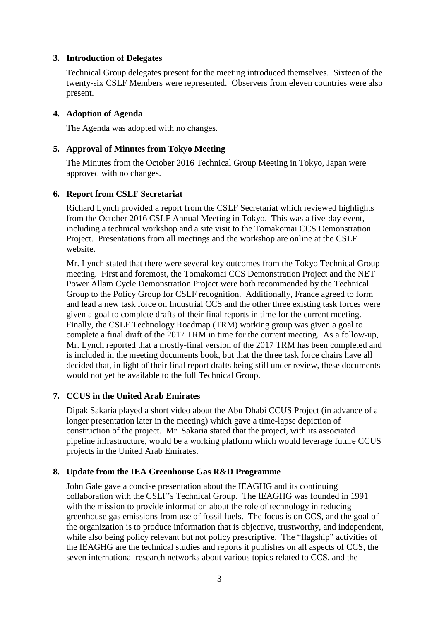#### **3. Introduction of Delegates**

Technical Group delegates present for the meeting introduced themselves. Sixteen of the twenty-six CSLF Members were represented. Observers from eleven countries were also present.

#### **4. Adoption of Agenda**

The Agenda was adopted with no changes.

#### **5. Approval of Minutes from Tokyo Meeting**

The Minutes from the October 2016 Technical Group Meeting in Tokyo, Japan were approved with no changes.

#### **6. Report from CSLF Secretariat**

Richard Lynch provided a report from the CSLF Secretariat which reviewed highlights from the October 2016 CSLF Annual Meeting in Tokyo. This was a five-day event, including a technical workshop and a site visit to the Tomakomai CCS Demonstration Project. Presentations from all meetings and the workshop are online at the CSLF website.

Mr. Lynch stated that there were several key outcomes from the Tokyo Technical Group meeting. First and foremost, the Tomakomai CCS Demonstration Project and the NET Power Allam Cycle Demonstration Project were both recommended by the Technical Group to the Policy Group for CSLF recognition. Additionally, France agreed to form and lead a new task force on Industrial CCS and the other three existing task forces were given a goal to complete drafts of their final reports in time for the current meeting. Finally, the CSLF Technology Roadmap (TRM) working group was given a goal to complete a final draft of the 2017 TRM in time for the current meeting. As a follow-up, Mr. Lynch reported that a mostly-final version of the 2017 TRM has been completed and is included in the meeting documents book, but that the three task force chairs have all decided that, in light of their final report drafts being still under review, these documents would not yet be available to the full Technical Group.

### **7. CCUS in the United Arab Emirates**

Dipak Sakaria played a short video about the Abu Dhabi CCUS Project (in advance of a longer presentation later in the meeting) which gave a time-lapse depiction of construction of the project. Mr. Sakaria stated that the project, with its associated pipeline infrastructure, would be a working platform which would leverage future CCUS projects in the United Arab Emirates.

### **8. Update from the IEA Greenhouse Gas R&D Programme**

John Gale gave a concise presentation about the IEAGHG and its continuing collaboration with the CSLF's Technical Group. The IEAGHG was founded in 1991 with the mission to provide information about the role of technology in reducing greenhouse gas emissions from use of fossil fuels. The focus is on CCS, and the goal of the organization is to produce information that is objective, trustworthy, and independent, while also being policy relevant but not policy prescriptive. The "flagship" activities of the IEAGHG are the technical studies and reports it publishes on all aspects of CCS, the seven international research networks about various topics related to CCS, and the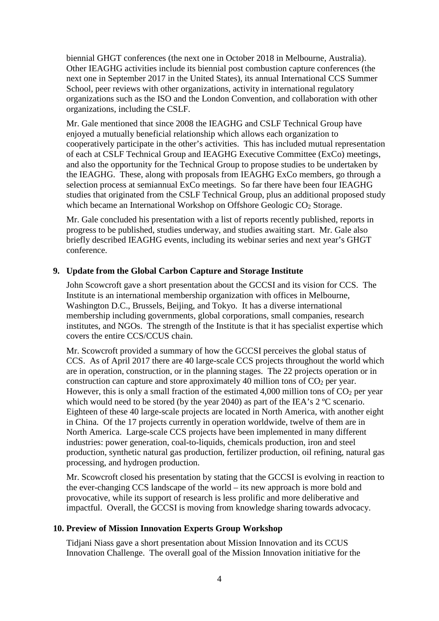biennial GHGT conferences (the next one in October 2018 in Melbourne, Australia). Other IEAGHG activities include its biennial post combustion capture conferences (the next one in September 2017 in the United States), its annual International CCS Summer School, peer reviews with other organizations, activity in international regulatory organizations such as the ISO and the London Convention, and collaboration with other organizations, including the CSLF.

Mr. Gale mentioned that since 2008 the IEAGHG and CSLF Technical Group have enjoyed a mutually beneficial relationship which allows each organization to cooperatively participate in the other's activities. This has included mutual representation of each at CSLF Technical Group and IEAGHG Executive Committee (ExCo) meetings, and also the opportunity for the Technical Group to propose studies to be undertaken by the IEAGHG. These, along with proposals from IEAGHG ExCo members, go through a selection process at semiannual ExCo meetings. So far there have been four IEAGHG studies that originated from the CSLF Technical Group, plus an additional proposed study which became an International Workshop on Offshore Geologic CO<sub>2</sub> Storage.

Mr. Gale concluded his presentation with a list of reports recently published, reports in progress to be published, studies underway, and studies awaiting start. Mr. Gale also briefly described IEAGHG events, including its webinar series and next year's GHGT conference.

#### **9. Update from the Global Carbon Capture and Storage Institute**

John Scowcroft gave a short presentation about the GCCSI and its vision for CCS. The Institute is an international membership organization with offices in Melbourne, Washington D.C., Brussels, Beijing, and Tokyo. It has a diverse international membership including governments, global corporations, small companies, research institutes, and NGOs. The strength of the Institute is that it has specialist expertise which covers the entire CCS/CCUS chain.

Mr. Scowcroft provided a summary of how the GCCSI perceives the global status of CCS. As of April 2017 there are 40 large-scale CCS projects throughout the world which are in operation, construction, or in the planning stages. The 22 projects operation or in construction can capture and store approximately 40 million tons of  $CO<sub>2</sub>$  per year. However, this is only a small fraction of the estimated 4,000 million tons of  $CO<sub>2</sub>$  per year which would need to be stored (by the year 2040) as part of the IEA's 2 °C scenario. Eighteen of these 40 large-scale projects are located in North America, with another eight in China. Of the 17 projects currently in operation worldwide, twelve of them are in North America. Large-scale CCS projects have been implemented in many different industries: power generation, coal-to-liquids, chemicals production, iron and steel production, synthetic natural gas production, fertilizer production, oil refining, natural gas processing, and hydrogen production.

Mr. Scowcroft closed his presentation by stating that the GCCSI is evolving in reaction to the ever-changing CCS landscape of the world – its new approach is more bold and provocative, while its support of research is less prolific and more deliberative and impactful. Overall, the GCCSI is moving from knowledge sharing towards advocacy.

#### **10. Preview of Mission Innovation Experts Group Workshop**

Tidjani Niass gave a short presentation about Mission Innovation and its CCUS Innovation Challenge. The overall goal of the Mission Innovation initiative for the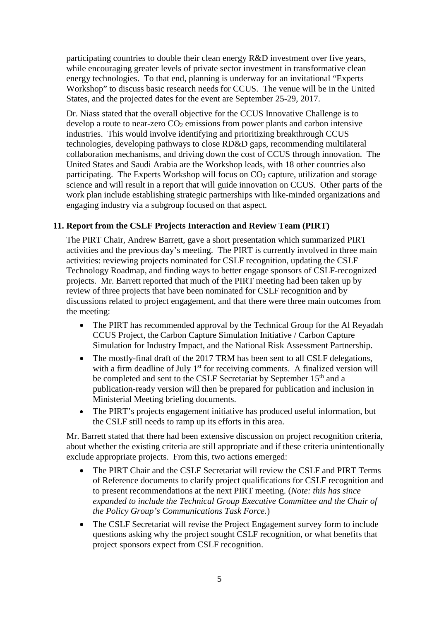participating countries to double their clean energy R&D investment over five years, while encouraging greater levels of private sector investment in transformative clean energy technologies. To that end, planning is underway for an invitational "Experts Workshop" to discuss basic research needs for CCUS. The venue will be in the United States, and the projected dates for the event are September 25-29, 2017.

Dr. Niass stated that the overall objective for the CCUS Innovative Challenge is to develop a route to near-zero  $CO<sub>2</sub>$  emissions from power plants and carbon intensive industries. This would involve identifying and prioritizing breakthrough CCUS technologies, developing pathways to close RD&D gaps, recommending multilateral collaboration mechanisms, and driving down the cost of CCUS through innovation. The United States and Saudi Arabia are the Workshop leads, with 18 other countries also participating. The Experts Workshop will focus on  $CO<sub>2</sub>$  capture, utilization and storage science and will result in a report that will guide innovation on CCUS. Other parts of the work plan include establishing strategic partnerships with like-minded organizations and engaging industry via a subgroup focused on that aspect.

### **11. Report from the CSLF Projects Interaction and Review Team (PIRT)**

The PIRT Chair, Andrew Barrett, gave a short presentation which summarized PIRT activities and the previous day's meeting. The PIRT is currently involved in three main activities: reviewing projects nominated for CSLF recognition, updating the CSLF Technology Roadmap, and finding ways to better engage sponsors of CSLF-recognized projects. Mr. Barrett reported that much of the PIRT meeting had been taken up by review of three projects that have been nominated for CSLF recognition and by discussions related to project engagement, and that there were three main outcomes from the meeting:

- The PIRT has recommended approval by the Technical Group for the Al Reyadah CCUS Project, the Carbon Capture Simulation Initiative / Carbon Capture Simulation for Industry Impact, and the National Risk Assessment Partnership.
- The mostly-final draft of the 2017 TRM has been sent to all CSLF delegations, with a firm deadline of July  $1<sup>st</sup>$  for receiving comments. A finalized version will be completed and sent to the CSLF Secretariat by September 15<sup>th</sup> and a publication-ready version will then be prepared for publication and inclusion in Ministerial Meeting briefing documents.
- The PIRT's projects engagement initiative has produced useful information, but the CSLF still needs to ramp up its efforts in this area.

Mr. Barrett stated that there had been extensive discussion on project recognition criteria, about whether the existing criteria are still appropriate and if these criteria unintentionally exclude appropriate projects. From this, two actions emerged:

- The PIRT Chair and the CSLF Secretariat will review the CSLF and PIRT Terms of Reference documents to clarify project qualifications for CSLF recognition and to present recommendations at the next PIRT meeting. (*Note: this has since expanded to include the Technical Group Executive Committee and the Chair of the Policy Group's Communications Task Force.*)
- The CSLF Secretariat will revise the Project Engagement survey form to include questions asking why the project sought CSLF recognition, or what benefits that project sponsors expect from CSLF recognition.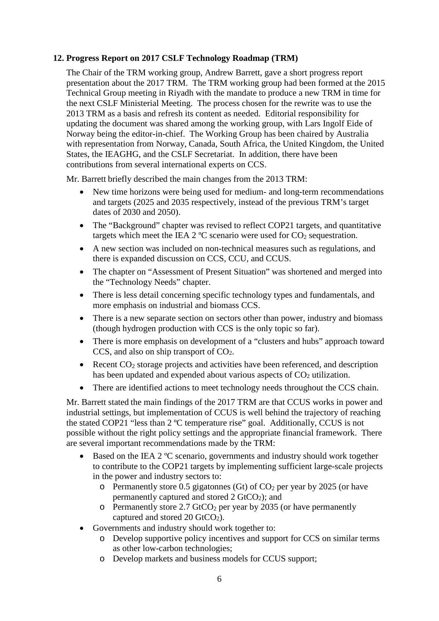### **12. Progress Report on 2017 CSLF Technology Roadmap (TRM)**

The Chair of the TRM working group, Andrew Barrett, gave a short progress report presentation about the 2017 TRM. The TRM working group had been formed at the 2015 Technical Group meeting in Riyadh with the mandate to produce a new TRM in time for the next CSLF Ministerial Meeting. The process chosen for the rewrite was to use the 2013 TRM as a basis and refresh its content as needed. Editorial responsibility for updating the document was shared among the working group, with Lars Ingolf Eide of Norway being the editor-in-chief. The Working Group has been chaired by Australia with representation from Norway, Canada, South Africa, the United Kingdom, the United States, the IEAGHG, and the CSLF Secretariat. In addition, there have been contributions from several international experts on CCS.

Mr. Barrett briefly described the main changes from the 2013 TRM:

- New time horizons were being used for medium- and long-term recommendations and targets (2025 and 2035 respectively, instead of the previous TRM's target dates of 2030 and 2050).
- The "Background" chapter was revised to reflect COP21 targets, and quantitative targets which meet the IEA  $2^{\circ}$ C scenario were used for CO<sub>2</sub> sequestration.
- A new section was included on non-technical measures such as regulations, and there is expanded discussion on CCS, CCU, and CCUS.
- The chapter on "Assessment of Present Situation" was shortened and merged into the "Technology Needs" chapter.
- There is less detail concerning specific technology types and fundamentals, and more emphasis on industrial and biomass CCS.
- There is a new separate section on sectors other than power, industry and biomass (though hydrogen production with CCS is the only topic so far).
- There is more emphasis on development of a "clusters and hubs" approach toward CCS, and also on ship transport of  $CO<sub>2</sub>$ .
- Recent  $CO<sub>2</sub>$  storage projects and activities have been referenced, and description has been updated and expended about various aspects of  $CO<sub>2</sub>$  utilization.
- There are identified actions to meet technology needs throughout the CCS chain.

Mr. Barrett stated the main findings of the 2017 TRM are that CCUS works in power and industrial settings, but implementation of CCUS is well behind the trajectory of reaching the stated COP21 "less than 2 ºC temperature rise" goal. Additionally, CCUS is not possible without the right policy settings and the appropriate financial framework. There are several important recommendations made by the TRM:

- Based on the IEA 2 °C scenario, governments and industry should work together to contribute to the COP21 targets by implementing sufficient large-scale projects in the power and industry sectors to:
	- $\circ$  Permanently store 0.5 gigatonnes (Gt) of CO<sub>2</sub> per year by 2025 (or have permanently captured and stored  $2 \text{ GtCO}_2$ ); and
	- $\circ$  Permanently store 2.7 GtCO<sub>2</sub> per year by 2035 (or have permanently captured and stored 20  $GtCO<sub>2</sub>$ ).
- Governments and industry should work together to:
	- o Develop supportive policy incentives and support for CCS on similar terms as other low-carbon technologies;
	- o Develop markets and business models for CCUS support;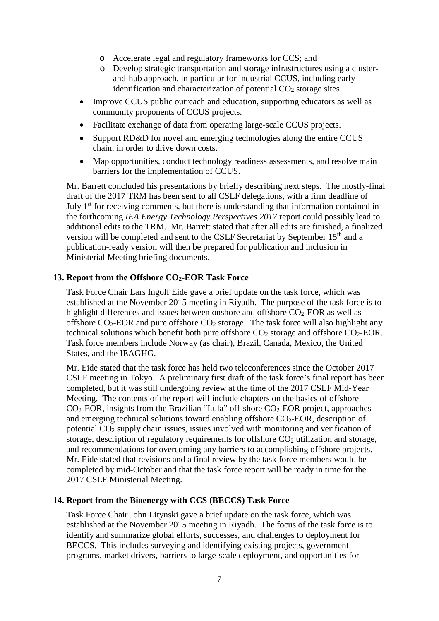- o Accelerate legal and regulatory frameworks for CCS; and
- o Develop strategic transportation and storage infrastructures using a clusterand-hub approach, in particular for industrial CCUS, including early identification and characterization of potential  $CO<sub>2</sub>$  storage sites.
- Improve CCUS public outreach and education, supporting educators as well as community proponents of CCUS projects.
- Facilitate exchange of data from operating large-scale CCUS projects.
- Support RD&D for novel and emerging technologies along the entire CCUS chain, in order to drive down costs.
- Map opportunities, conduct technology readiness assessments, and resolve main barriers for the implementation of CCUS.

Mr. Barrett concluded his presentations by briefly describing next steps. The mostly-final draft of the 2017 TRM has been sent to all CSLF delegations, with a firm deadline of July 1<sup>st</sup> for receiving comments, but there is understanding that information contained in the forthcoming *IEA Energy Technology Perspectives 2017* report could possibly lead to additional edits to the TRM. Mr. Barrett stated that after all edits are finished, a finalized version will be completed and sent to the CSLF Secretariat by September 15<sup>th</sup> and a publication-ready version will then be prepared for publication and inclusion in Ministerial Meeting briefing documents.

#### **13. Report from the Offshore CO2-EOR Task Force**

Task Force Chair Lars Ingolf Eide gave a brief update on the task force, which was established at the November 2015 meeting in Riyadh. The purpose of the task force is to highlight differences and issues between onshore and offshore  $CO<sub>2</sub>$ -EOR as well as offshore  $CO_2$ -EOR and pure offshore  $CO_2$  storage. The task force will also highlight any technical solutions which benefit both pure offshore  $CO<sub>2</sub>$  storage and offshore  $CO<sub>2</sub>$ -EOR. Task force members include Norway (as chair), Brazil, Canada, Mexico, the United States, and the IEAGHG.

Mr. Eide stated that the task force has held two teleconferences since the October 2017 CSLF meeting in Tokyo. A preliminary first draft of the task force's final report has been completed, but it was still undergoing review at the time of the 2017 CSLF Mid-Year Meeting. The contents of the report will include chapters on the basics of offshore  $CO<sub>2</sub>-EOR$ , insights from the Brazilian "Lula" off-shore  $CO<sub>2</sub>-EOR$  project, approaches and emerging technical solutions toward enabling offshore  $CO<sub>2</sub>$ -EOR, description of potential CO2 supply chain issues, issues involved with monitoring and verification of storage, description of regulatory requirements for offshore CO<sub>2</sub> utilization and storage, and recommendations for overcoming any barriers to accomplishing offshore projects. Mr. Eide stated that revisions and a final review by the task force members would be completed by mid-October and that the task force report will be ready in time for the 2017 CSLF Ministerial Meeting.

### **14. Report from the Bioenergy with CCS (BECCS) Task Force**

Task Force Chair John Litynski gave a brief update on the task force, which was established at the November 2015 meeting in Riyadh. The focus of the task force is to identify and summarize global efforts, successes, and challenges to deployment for BECCS. This includes surveying and identifying existing projects, government programs, market drivers, barriers to large-scale deployment, and opportunities for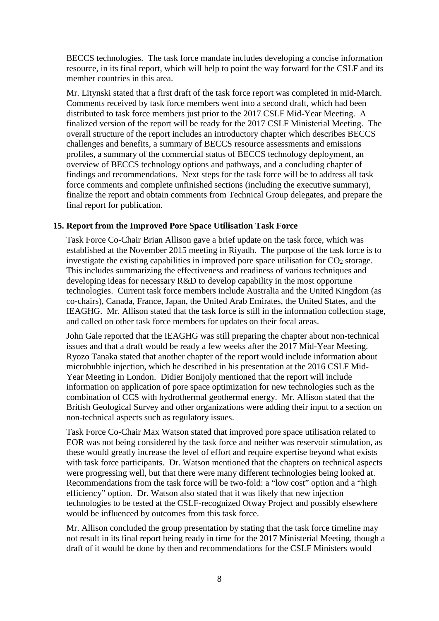BECCS technologies. The task force mandate includes developing a concise information resource, in its final report, which will help to point the way forward for the CSLF and its member countries in this area.

Mr. Litynski stated that a first draft of the task force report was completed in mid-March. Comments received by task force members went into a second draft, which had been distributed to task force members just prior to the 2017 CSLF Mid-Year Meeting. A finalized version of the report will be ready for the 2017 CSLF Ministerial Meeting. The overall structure of the report includes an introductory chapter which describes BECCS challenges and benefits, a summary of BECCS resource assessments and emissions profiles, a summary of the commercial status of BECCS technology deployment, an overview of BECCS technology options and pathways, and a concluding chapter of findings and recommendations. Next steps for the task force will be to address all task force comments and complete unfinished sections (including the executive summary), finalize the report and obtain comments from Technical Group delegates, and prepare the final report for publication.

#### **15. Report from the Improved Pore Space Utilisation Task Force**

Task Force Co-Chair Brian Allison gave a brief update on the task force, which was established at the November 2015 meeting in Riyadh. The purpose of the task force is to investigate the existing capabilities in improved pore space utilisation for  $CO<sub>2</sub>$  storage. This includes summarizing the effectiveness and readiness of various techniques and developing ideas for necessary R&D to develop capability in the most opportune technologies. Current task force members include Australia and the United Kingdom (as co-chairs), Canada, France, Japan, the United Arab Emirates, the United States, and the IEAGHG. Mr. Allison stated that the task force is still in the information collection stage, and called on other task force members for updates on their focal areas.

John Gale reported that the IEAGHG was still preparing the chapter about non-technical issues and that a draft would be ready a few weeks after the 2017 Mid-Year Meeting. Ryozo Tanaka stated that another chapter of the report would include information about microbubble injection, which he described in his presentation at the 2016 CSLF Mid-Year Meeting in London. Didier Bonijoly mentioned that the report will include information on application of pore space optimization for new technologies such as the combination of CCS with hydrothermal geothermal energy. Mr. Allison stated that the British Geological Survey and other organizations were adding their input to a section on non-technical aspects such as regulatory issues.

Task Force Co-Chair Max Watson stated that improved pore space utilisation related to EOR was not being considered by the task force and neither was reservoir stimulation, as these would greatly increase the level of effort and require expertise beyond what exists with task force participants. Dr. Watson mentioned that the chapters on technical aspects were progressing well, but that there were many different technologies being looked at. Recommendations from the task force will be two-fold: a "low cost" option and a "high efficiency" option. Dr. Watson also stated that it was likely that new injection technologies to be tested at the CSLF-recognized Otway Project and possibly elsewhere would be influenced by outcomes from this task force.

Mr. Allison concluded the group presentation by stating that the task force timeline may not result in its final report being ready in time for the 2017 Ministerial Meeting, though a draft of it would be done by then and recommendations for the CSLF Ministers would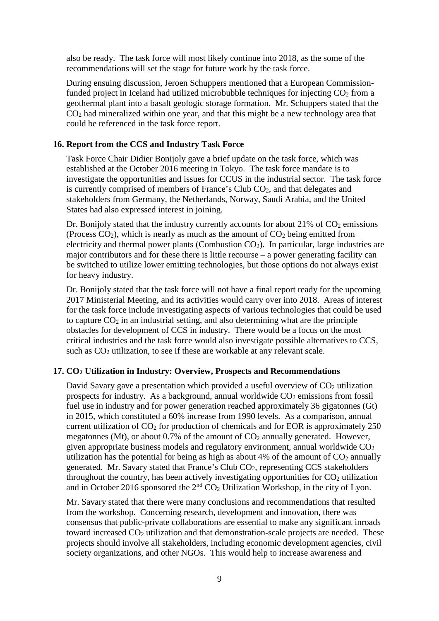also be ready. The task force will most likely continue into 2018, as the some of the recommendations will set the stage for future work by the task force.

During ensuing discussion, Jeroen Schuppers mentioned that a European Commissionfunded project in Iceland had utilized microbubble techniques for injecting  $CO<sub>2</sub>$  from a geothermal plant into a basalt geologic storage formation. Mr. Schuppers stated that the  $CO<sub>2</sub>$  had mineralized within one year, and that this might be a new technology area that could be referenced in the task force report.

#### **16. Report from the CCS and Industry Task Force**

Task Force Chair Didier Bonijoly gave a brief update on the task force, which was established at the October 2016 meeting in Tokyo. The task force mandate is to investigate the opportunities and issues for CCUS in the industrial sector. The task force is currently comprised of members of France's Club CO2, and that delegates and stakeholders from Germany, the Netherlands, Norway, Saudi Arabia, and the United States had also expressed interest in joining.

Dr. Bonijoly stated that the industry currently accounts for about  $21\%$  of  $CO<sub>2</sub>$  emissions (Process  $CO<sub>2</sub>$ ), which is nearly as much as the amount of  $CO<sub>2</sub>$  being emitted from electricity and thermal power plants (Combustion CO2). In particular, large industries are major contributors and for these there is little recourse – a power generating facility can be switched to utilize lower emitting technologies, but those options do not always exist for heavy industry.

Dr. Bonijoly stated that the task force will not have a final report ready for the upcoming 2017 Ministerial Meeting, and its activities would carry over into 2018. Areas of interest for the task force include investigating aspects of various technologies that could be used to capture  $CO<sub>2</sub>$  in an industrial setting, and also determining what are the principle obstacles for development of CCS in industry. There would be a focus on the most critical industries and the task force would also investigate possible alternatives to CCS, such as  $CO<sub>2</sub>$  utilization, to see if these are workable at any relevant scale.

#### **17. CO2 Utilization in Industry: Overview, Prospects and Recommendations**

David Savary gave a presentation which provided a useful overview of  $CO<sub>2</sub>$  utilization prospects for industry. As a background, annual worldwide  $CO<sub>2</sub>$  emissions from fossil fuel use in industry and for power generation reached approximately 36 gigatonnes (Gt) in 2015, which constituted a 60% increase from 1990 levels. As a comparison, annual current utilization of  $CO<sub>2</sub>$  for production of chemicals and for EOR is approximately 250 megatonnes (Mt), or about 0.7% of the amount of  $CO<sub>2</sub>$  annually generated. However, given appropriate business models and regulatory environment, annual worldwide  $CO<sub>2</sub>$ utilization has the potential for being as high as about 4% of the amount of  $CO<sub>2</sub>$  annually generated. Mr. Savary stated that France's Club CO2, representing CCS stakeholders throughout the country, has been actively investigating opportunities for  $CO<sub>2</sub>$  utilization and in October 2016 sponsored the  $2<sup>nd</sup> CO<sub>2</sub>$  Utilization Workshop, in the city of Lyon.

Mr. Savary stated that there were many conclusions and recommendations that resulted from the workshop. Concerning research, development and innovation, there was consensus that public-private collaborations are essential to make any significant inroads toward increased CO2 utilization and that demonstration-scale projects are needed. These projects should involve all stakeholders, including economic development agencies, civil society organizations, and other NGOs. This would help to increase awareness and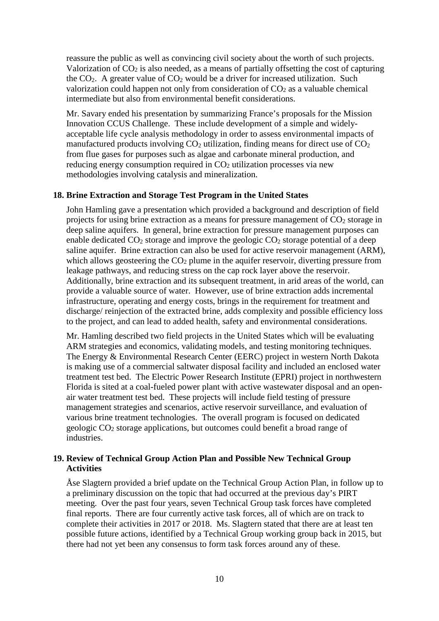reassure the public as well as convincing civil society about the worth of such projects. Valorization of  $CO<sub>2</sub>$  is also needed, as a means of partially offsetting the cost of capturing the  $CO<sub>2</sub>$ . A greater value of  $CO<sub>2</sub>$  would be a driver for increased utilization. Such valorization could happen not only from consideration of  $CO<sub>2</sub>$  as a valuable chemical intermediate but also from environmental benefit considerations.

Mr. Savary ended his presentation by summarizing France's proposals for the Mission Innovation CCUS Challenge. These include development of a simple and widelyacceptable life cycle analysis methodology in order to assess environmental impacts of manufactured products involving  $CO<sub>2</sub>$  utilization, finding means for direct use of  $CO<sub>2</sub>$ from flue gases for purposes such as algae and carbonate mineral production, and reducing energy consumption required in  $CO<sub>2</sub>$  utilization processes via new methodologies involving catalysis and mineralization.

#### **18. Brine Extraction and Storage Test Program in the United States**

John Hamling gave a presentation which provided a background and description of field projects for using brine extraction as a means for pressure management of  $CO<sub>2</sub>$  storage in deep saline aquifers. In general, brine extraction for pressure management purposes can enable dedicated  $CO_2$  storage and improve the geologic  $CO_2$  storage potential of a deep saline aquifer. Brine extraction can also be used for active reservoir management (ARM), which allows geosteering the  $CO<sub>2</sub>$  plume in the aquifer reservoir, diverting pressure from leakage pathways, and reducing stress on the cap rock layer above the reservoir. Additionally, brine extraction and its subsequent treatment, in arid areas of the world, can provide a valuable source of water. However, use of brine extraction adds incremental infrastructure, operating and energy costs, brings in the requirement for treatment and discharge/ reinjection of the extracted brine, adds complexity and possible efficiency loss to the project, and can lead to added health, safety and environmental considerations.

Mr. Hamling described two field projects in the United States which will be evaluating ARM strategies and economics, validating models, and testing monitoring techniques. The Energy & Environmental Research Center (EERC) project in western North Dakota is making use of a commercial saltwater disposal facility and included an enclosed water treatment test bed. The Electric Power Research Institute (EPRI) project in northwestern Florida is sited at a coal-fueled power plant with active wastewater disposal and an openair water treatment test bed. These projects will include field testing of pressure management strategies and scenarios, active reservoir surveillance, and evaluation of various brine treatment technologies. The overall program is focused on dedicated geologic CO2 storage applications, but outcomes could benefit a broad range of industries.

#### **19. Review of Technical Group Action Plan and Possible New Technical Group Activities**

Åse Slagtern provided a brief update on the Technical Group Action Plan, in follow up to a preliminary discussion on the topic that had occurred at the previous day's PIRT meeting. Over the past four years, seven Technical Group task forces have completed final reports. There are four currently active task forces, all of which are on track to complete their activities in 2017 or 2018. Ms. Slagtern stated that there are at least ten possible future actions, identified by a Technical Group working group back in 2015, but there had not yet been any consensus to form task forces around any of these.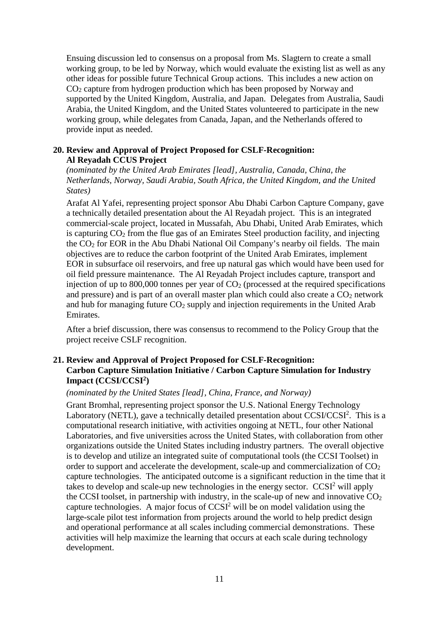Ensuing discussion led to consensus on a proposal from Ms. Slagtern to create a small working group, to be led by Norway, which would evaluate the existing list as well as any other ideas for possible future Technical Group actions. This includes a new action on CO2 capture from hydrogen production which has been proposed by Norway and supported by the United Kingdom, Australia, and Japan. Delegates from Australia, Saudi Arabia, the United Kingdom, and the United States volunteered to participate in the new working group, while delegates from Canada, Japan, and the Netherlands offered to provide input as needed.

#### **20. Review and Approval of Project Proposed for CSLF-Recognition: Al Reyadah CCUS Project**

*(nominated by the United Arab Emirates [lead], Australia, Canada, China, the Netherlands, Norway, Saudi Arabia, South Africa, the United Kingdom, and the United States)*

Arafat Al Yafei, representing project sponsor Abu Dhabi Carbon Capture Company, gave a technically detailed presentation about the Al Reyadah project. This is an integrated commercial-scale project, located in Mussafah, Abu Dhabi, United Arab Emirates, which is capturing CO2 from the flue gas of an Emirates Steel production facility, and injecting the CO2 for EOR in the Abu Dhabi National Oil Company's nearby oil fields. The main objectives are to reduce the carbon footprint of the United Arab Emirates, implement EOR in subsurface oil reservoirs, and free up natural gas which would have been used for oil field pressure maintenance. The Al Reyadah Project includes capture, transport and injection of up to  $800,000$  tonnes per year of  $CO<sub>2</sub>$  (processed at the required specifications and pressure) and is part of an overall master plan which could also create a  $CO<sub>2</sub>$  network and hub for managing future  $CO<sub>2</sub>$  supply and injection requirements in the United Arab Emirates.

After a brief discussion, there was consensus to recommend to the Policy Group that the project receive CSLF recognition.

#### **21. Review and Approval of Project Proposed for CSLF-Recognition: Carbon Capture Simulation Initiative / Carbon Capture Simulation for Industry Impact (CCSI/CCSI2)**

#### *(nominated by the United States [lead], China, France, and Norway)*

Grant Bromhal, representing project sponsor the U.S. National Energy Technology Laboratory (NETL), gave a technically detailed presentation about  $CCSI/CCSI<sup>2</sup>$ . This is a computational research initiative, with activities ongoing at NETL, four other National Laboratories, and five universities across the United States, with collaboration from other organizations outside the United States including industry partners. The overall objective is to develop and utilize an integrated suite of computational tools (the CCSI Toolset) in order to support and accelerate the development, scale-up and commercialization of  $CO<sub>2</sub>$ capture technologies. The anticipated outcome is a significant reduction in the time that it takes to develop and scale-up new technologies in the energy sector.  $CCSI<sup>2</sup>$  will apply the CCSI toolset, in partnership with industry, in the scale-up of new and innovative  $CO<sub>2</sub>$ capture technologies. A major focus of  $CCSI<sup>2</sup>$  will be on model validation using the large-scale pilot test information from projects around the world to help predict design and operational performance at all scales including commercial demonstrations. These activities will help maximize the learning that occurs at each scale during technology development.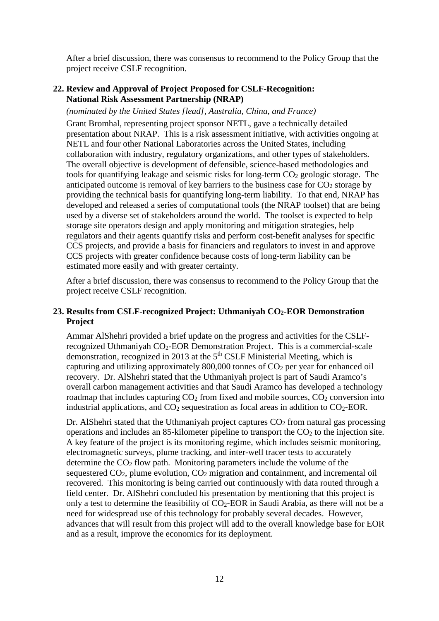After a brief discussion, there was consensus to recommend to the Policy Group that the project receive CSLF recognition.

### **22. Review and Approval of Project Proposed for CSLF-Recognition: National Risk Assessment Partnership (NRAP)**

*(nominated by the United States [lead], Australia, China, and France)*

Grant Bromhal, representing project sponsor NETL, gave a technically detailed presentation about NRAP. This is a risk assessment initiative, with activities ongoing at NETL and four other National Laboratories across the United States, including collaboration with industry, regulatory organizations, and other types of stakeholders. The overall objective is development of defensible, science-based methodologies and tools for quantifying leakage and seismic risks for long-term  $CO<sub>2</sub>$  geologic storage. The anticipated outcome is removal of key barriers to the business case for  $CO<sub>2</sub>$  storage by providing the technical basis for quantifying long-term liability. To that end, NRAP has developed and released a series of computational tools (the NRAP toolset) that are being used by a diverse set of stakeholders around the world. The toolset is expected to help storage site operators design and apply monitoring and mitigation strategies, help regulators and their agents quantify risks and perform cost-benefit analyses for specific CCS projects, and provide a basis for financiers and regulators to invest in and approve CCS projects with greater confidence because costs of long-term liability can be estimated more easily and with greater certainty.

After a brief discussion, there was consensus to recommend to the Policy Group that the project receive CSLF recognition.

#### **23. Results from CSLF-recognized Project: Uthmaniyah CO2-EOR Demonstration Project**

Ammar AlShehri provided a brief update on the progress and activities for the CSLFrecognized Uthmaniyah CO2-EOR Demonstration Project. This is a commercial-scale demonstration, recognized in 2013 at the  $5<sup>th</sup>$  CSLF Ministerial Meeting, which is capturing and utilizing approximately 800,000 tonnes of CO2 per year for enhanced oil recovery. Dr. AlShehri stated that the Uthmaniyah project is part of Saudi Aramco's overall carbon management activities and that Saudi Aramco has developed a technology roadmap that includes capturing  $CO<sub>2</sub>$  from fixed and mobile sources,  $CO<sub>2</sub>$  conversion into industrial applications, and  $CO<sub>2</sub>$  sequestration as focal areas in addition to  $CO<sub>2</sub>$ -EOR.

Dr. Alshehri stated that the Uthmaniyah project captures  $CO<sub>2</sub>$  from natural gas processing operations and includes an 85-kilometer pipeline to transport the  $CO<sub>2</sub>$  to the injection site. A key feature of the project is its monitoring regime, which includes seismic monitoring, electromagnetic surveys, plume tracking, and inter-well tracer tests to accurately determine the  $CO<sub>2</sub>$  flow path. Monitoring parameters include the volume of the sequestered CO2, plume evolution, CO2 migration and containment, and incremental oil recovered. This monitoring is being carried out continuously with data routed through a field center. Dr. AlShehri concluded his presentation by mentioning that this project is only a test to determine the feasibility of  $CO<sub>2</sub>$ -EOR in Saudi Arabia, as there will not be a need for widespread use of this technology for probably several decades. However, advances that will result from this project will add to the overall knowledge base for EOR and as a result, improve the economics for its deployment.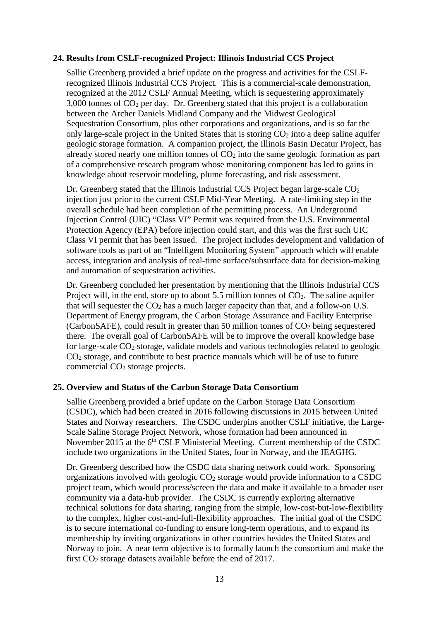#### **24. Results from CSLF-recognized Project: Illinois Industrial CCS Project**

Sallie Greenberg provided a brief update on the progress and activities for the CSLFrecognized Illinois Industrial CCS Project. This is a commercial-scale demonstration, recognized at the 2012 CSLF Annual Meeting, which is sequestering approximately  $3,000$  tonnes of  $CO<sub>2</sub>$  per day. Dr. Greenberg stated that this project is a collaboration between the Archer Daniels Midland Company and the Midwest Geological Sequestration Consortium, plus other corporations and organizations, and is so far the only large-scale project in the United States that is storing  $CO<sub>2</sub>$  into a deep saline aquifer geologic storage formation. A companion project, the Illinois Basin Decatur Project, has already stored nearly one million tonnes of  $CO<sub>2</sub>$  into the same geologic formation as part of a comprehensive research program whose monitoring component has led to gains in knowledge about reservoir modeling, plume forecasting, and risk assessment.

Dr. Greenberg stated that the Illinois Industrial CCS Project began large-scale CO<sub>2</sub> injection just prior to the current CSLF Mid-Year Meeting. A rate-limiting step in the overall schedule had been completion of the permitting process. An Underground Injection Control (UIC) "Class VI" Permit was required from the U.S. Environmental Protection Agency (EPA) before injection could start, and this was the first such UIC Class VI permit that has been issued. The project includes development and validation of software tools as part of an "Intelligent Monitoring System" approach which will enable access, integration and analysis of real-time surface/subsurface data for decision-making and automation of sequestration activities.

Dr. Greenberg concluded her presentation by mentioning that the Illinois Industrial CCS Project will, in the end, store up to about 5.5 million tonnes of  $CO<sub>2</sub>$ . The saline aquifer that will sequester the  $CO<sub>2</sub>$  has a much larger capacity than that, and a follow-on U.S. Department of Energy program, the Carbon Storage Assurance and Facility Enterprise (CarbonSAFE), could result in greater than 50 million tonnes of  $CO<sub>2</sub>$  being sequestered there. The overall goal of CarbonSAFE will be to improve the overall knowledge base for large-scale CO2 storage, validate models and various technologies related to geologic CO2 storage, and contribute to best practice manuals which will be of use to future commercial CO2 storage projects.

#### **25. Overview and Status of the Carbon Storage Data Consortium**

Sallie Greenberg provided a brief update on the Carbon Storage Data Consortium (CSDC), which had been created in 2016 following discussions in 2015 between United States and Norway researchers. The CSDC underpins another CSLF initiative, the Large-Scale Saline Storage Project Network, whose formation had been announced in November 2015 at the  $6<sup>th</sup>$  CSLF Ministerial Meeting. Current membership of the CSDC include two organizations in the United States, four in Norway, and the IEAGHG.

Dr. Greenberg described how the CSDC data sharing network could work. Sponsoring organizations involved with geologic CO2 storage would provide information to a CSDC project team, which would process/screen the data and make it available to a broader user community via a data-hub provider. The CSDC is currently exploring alternative technical solutions for data sharing, ranging from the simple, low-cost-but-low-flexibility to the complex, higher cost-and-full-flexibility approaches. The initial goal of the CSDC is to secure international co-funding to ensure long-term operations, and to expand its membership by inviting organizations in other countries besides the United States and Norway to join. A near term objective is to formally launch the consortium and make the first CO<sub>2</sub> storage datasets available before the end of 2017.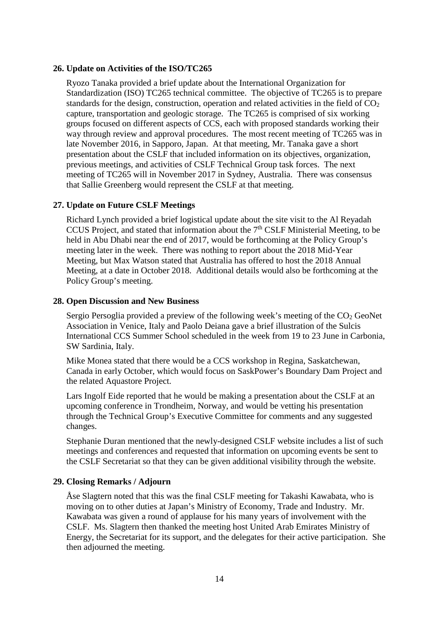#### **26. Update on Activities of the ISO/TC265**

Ryozo Tanaka provided a brief update about the International Organization for Standardization (ISO) TC265 technical committee. The objective of TC265 is to prepare standards for the design, construction, operation and related activities in the field of  $CO<sub>2</sub>$ capture, transportation and geologic storage. The TC265 is comprised of six working groups focused on different aspects of CCS, each with proposed standards working their way through review and approval procedures. The most recent meeting of TC265 was in late November 2016, in Sapporo, Japan. At that meeting, Mr. Tanaka gave a short presentation about the CSLF that included information on its objectives, organization, previous meetings, and activities of CSLF Technical Group task forces. The next meeting of TC265 will in November 2017 in Sydney, Australia. There was consensus that Sallie Greenberg would represent the CSLF at that meeting.

#### **27. Update on Future CSLF Meetings**

Richard Lynch provided a brief logistical update about the site visit to the Al Reyadah CCUS Project, and stated that information about the  $7<sup>th</sup>$  CSLF Ministerial Meeting, to be held in Abu Dhabi near the end of 2017, would be forthcoming at the Policy Group's meeting later in the week. There was nothing to report about the 2018 Mid-Year Meeting, but Max Watson stated that Australia has offered to host the 2018 Annual Meeting, at a date in October 2018. Additional details would also be forthcoming at the Policy Group's meeting.

#### **28. Open Discussion and New Business**

Sergio Persoglia provided a preview of the following week's meeting of the  $CO<sub>2</sub>$  GeoNet Association in Venice, Italy and Paolo Deiana gave a brief illustration of the Sulcis International CCS Summer School scheduled in the week from 19 to 23 June in Carbonia, SW Sardinia, Italy.

Mike Monea stated that there would be a CCS workshop in Regina, Saskatchewan, Canada in early October, which would focus on SaskPower's Boundary Dam Project and the related Aquastore Project.

Lars Ingolf Eide reported that he would be making a presentation about the CSLF at an upcoming conference in Trondheim, Norway, and would be vetting his presentation through the Technical Group's Executive Committee for comments and any suggested changes.

Stephanie Duran mentioned that the newly-designed CSLF website includes a list of such meetings and conferences and requested that information on upcoming events be sent to the CSLF Secretariat so that they can be given additional visibility through the website.

#### **29. Closing Remarks / Adjourn**

Åse Slagtern noted that this was the final CSLF meeting for Takashi Kawabata, who is moving on to other duties at Japan's Ministry of Economy, Trade and Industry. Mr. Kawabata was given a round of applause for his many years of involvement with the CSLF. Ms. Slagtern then thanked the meeting host United Arab Emirates Ministry of Energy, the Secretariat for its support, and the delegates for their active participation. She then adjourned the meeting.